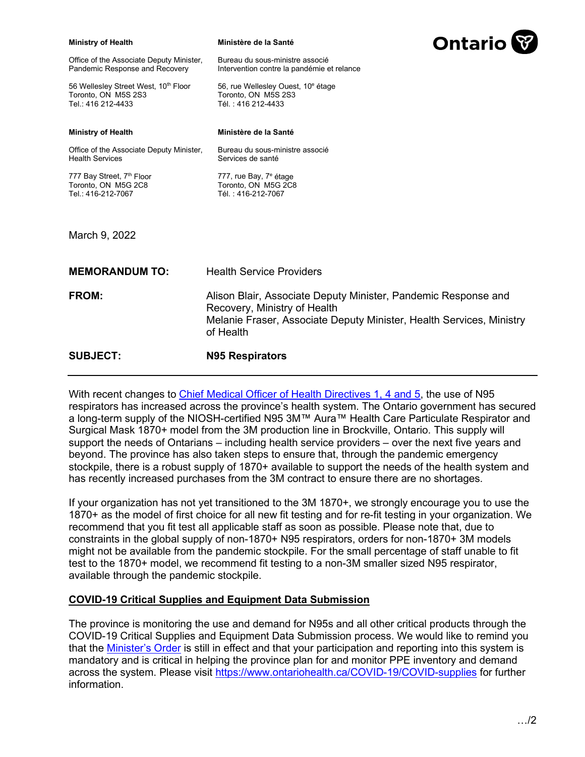| <b>Ministry of Health</b>                                                         | Ministère de la Santé                                                                                                                                                               | <b>Ontario</b> |
|-----------------------------------------------------------------------------------|-------------------------------------------------------------------------------------------------------------------------------------------------------------------------------------|----------------|
| Office of the Associate Deputy Minister,<br>Pandemic Response and Recovery        | Bureau du sous-ministre associé<br>Intervention contre la pandémie et relance                                                                                                       |                |
| 56 Wellesley Street West, 10th Floor<br>Toronto, ON M5S 2S3<br>Tel.: 416 212-4433 | 56, rue Wellesley Ouest, 10 <sup>e</sup> étage<br>Toronto, ON M5S 2S3<br>Tél: 416 212-4433                                                                                          |                |
| <b>Ministry of Health</b>                                                         | Ministère de la Santé                                                                                                                                                               |                |
| Office of the Associate Deputy Minister,<br><b>Health Services</b>                | Bureau du sous-ministre associé<br>Services de santé                                                                                                                                |                |
| 777 Bay Street, 7th Floor<br>Toronto, ON M5G 2C8<br>Tel.: 416-212-7067            | 777, rue Bay, 7 <sup>e</sup> étage<br>Toronto, ON M5G 2C8<br>Tél.: 416-212-7067                                                                                                     |                |
| March 9, 2022                                                                     |                                                                                                                                                                                     |                |
| <b>MEMORANDUM TO:</b>                                                             | <b>Health Service Providers</b>                                                                                                                                                     |                |
| <b>FROM:</b>                                                                      | Alison Blair, Associate Deputy Minister, Pandemic Response and<br>Recovery, Ministry of Health<br>Melanie Fraser, Associate Deputy Minister, Health Services, Ministry<br>of Health |                |
| <b>SUBJECT:</b>                                                                   | N95 Respirators                                                                                                                                                                     |                |

With recent changes to [Chief Medical Officer of Health Directives 1, 4 and 5](https://www.health.gov.on.ca/en/pro/programs/publichealth/coronavirus/dir_mem_res.aspx), the use of N95 respirators has increased across the province's health system. The Ontario government has secured a long-term supply of the NIOSH-certified N95 3M™ Aura™ Health Care Particulate Respirator and Surgical Mask 1870+ model from the 3M production line in Brockville, Ontario. This supply will support the needs of Ontarians – including health service providers – over the next five years and beyond. The province has also taken steps to ensure that, through the pandemic emergency stockpile, there is a robust supply of 1870+ available to support the needs of the health system and has recently increased purchases from the 3M contract to ensure there are no shortages.

If your organization has not yet transitioned to the 3M 1870+, we strongly encourage you to use the 1870+ as the model of first choice for all new fit testing and for re-fit testing in your organization. We recommend that you fit test all applicable staff as soon as possible. Please note that, due to constraints in the global supply of non-1870+ N95 respirators, orders for non-1870+ 3M models might not be available from the pandemic stockpile. For the small percentage of staff unable to fit test to the 1870+ model, we recommend fit testing to a non-3M smaller sized N95 respirator, available through the pandemic stockpile.

# **COVID-19 Critical Supplies and Equipment Data Submission**

The province is monitoring the use and demand for N95s and all other critical products through the COVID-19 Critical Supplies and Equipment Data Submission process. We would like to remind you that the [Minister's Order](https://www.health.gov.on.ca/en/pro/programs/publichealth/coronavirus/docs/orders/minister) is still in effect and that your participation and reporting into this system is mandatory and is critical in helping the province plan for and monitor PPE inventory and demand across the system. Please visit <https://www.ontariohealth.ca/COVID-19/COVID-supplies> for further information.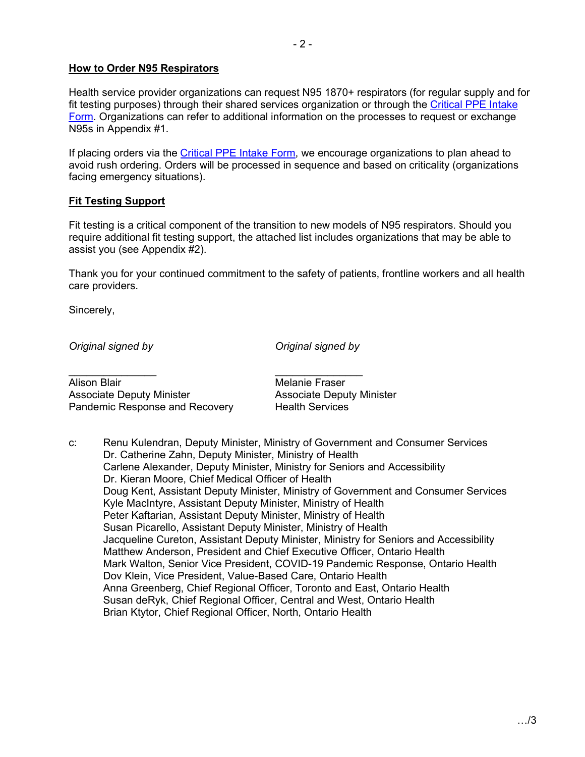# **How to Order N95 Respirators**

Health service provider organizations can request N95 1870+ respirators (for regular supply and for fit testing purposes) through their shared services organization or through the Critical PPE Intake [Form. Organizations can refer to additional information on the processes to request or exchange](https://ehealthontario.on.ca/en/for-healthcare-professionals/digital-health-services)  N95s in Appendix #1.

If placing orders via the [Critical PPE Intake Form](https://ehealthontario.on.ca/en/for-healthcare-professionals/digital-health-services), we encourage organizations to plan ahead to avoid rush ordering. Orders will be processed in sequence and based on criticality (organizations facing emergency situations).

# **Fit Testing Support**

Fit testing is a critical component of the transition to new models of N95 respirators. Should you require additional fit testing support, the attached list includes organizations that may be able to assist you (see Appendix #2).

Thank you for your continued commitment to the safety of patients, frontline workers and all health care providers.

Sincerely,

*Original signed by*

*Original signed by*

Alison Blair Associate Deputy Minister Pandemic Response and Recovery

\_\_\_\_\_\_\_\_\_\_\_\_\_\_\_ \_\_\_\_\_\_\_\_\_\_\_\_\_\_\_

Melanie Fraser Associate Deputy Minister Health Services

c: Renu Kulendran, Deputy Minister, Ministry of Government and Consumer Services Dr. Catherine Zahn, Deputy Minister, Ministry of Health Carlene Alexander, Deputy Minister, Ministry for Seniors and Accessibility Dr. Kieran Moore, Chief Medical Officer of Health Doug Kent, Assistant Deputy Minister, Ministry of Government and Consumer Services Kyle MacIntyre, Assistant Deputy Minister, Ministry of Health Peter Kaftarian, Assistant Deputy Minister, Ministry of Health Susan Picarello, Assistant Deputy Minister, Ministry of Health Jacqueline Cureton, Assistant Deputy Minister, Ministry for Seniors and Accessibility Matthew Anderson, President and Chief Executive Officer, Ontario Health Mark Walton, Senior Vice President, COVID-19 Pandemic Response, Ontario Health Dov Klein, Vice President, Value-Based Care, Ontario Health Anna Greenberg, Chief Regional Officer, Toronto and East, Ontario Health Susan deRyk, Chief Regional Officer, Central and West, Ontario Health Brian Ktytor, Chief Regional Officer, North, Ontario Health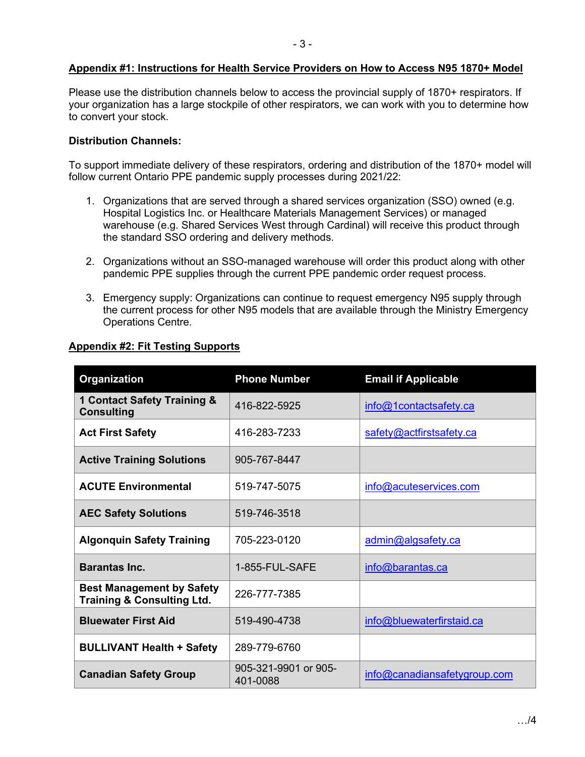# **Appendix #1: Instructions for Health Service Providers on How to Access N95 1870+ Model**

Please use the distribution channels below to access the provincial supply of 1870+ respirators. If your organization has a large stockpile of other respirators, we can work with you to determine how to convert your stock.

#### **Distribution Channels:**

To support immediate delivery of these respirators, ordering and distribution of the 1870+ model will follow current Ontario PPE pandemic supply processes during 2021/22:

- 1. Organizations that are served through a shared services organization (SSO) owned (e.g. Hospital Logistics Inc. or Healthcare Materials Management Services) or managed warehouse (e.g. Shared Services West through Cardinal) will receive this product through the standard SSO ordering and delivery methods.
- 2. Organizations without an SSO-managed warehouse will order this product along with other pandemic PPE supplies through the current PPE pandemic order request process.
- 3. Emergency supply: Organizations can continue to request emergency N95 supply through the current process for other N95 models that are available through the Ministry Emergency Operations Centre.

| <b>Organization</b>                                                       | <b>Phone Number</b>              | <b>Email if Applicable</b>   |
|---------------------------------------------------------------------------|----------------------------------|------------------------------|
| 1 Contact Safety Training &<br><b>Consulting</b>                          | 416-822-5925                     | info@1contactsafety.ca       |
| <b>Act First Safety</b>                                                   | 416-283-7233                     | safety@actfirstsafety.ca     |
| <b>Active Training Solutions</b>                                          | 905-767-8447                     |                              |
| <b>ACUTE Environmental</b>                                                | 519-747-5075                     | info@acuteservices.com       |
| <b>AEC Safety Solutions</b>                                               | 519-746-3518                     |                              |
| <b>Algonquin Safety Training</b>                                          | 705-223-0120                     | admin@algsafety.ca           |
| <b>Barantas Inc.</b>                                                      | 1-855-FUL-SAFE                   | info@barantas.ca             |
| <b>Best Management by Safety</b><br><b>Training &amp; Consulting Ltd.</b> | 226-777-7385                     |                              |
| <b>Bluewater First Aid</b>                                                | 519-490-4738                     | info@bluewaterfirstaid.ca    |
| <b>BULLIVANT Health + Safety</b>                                          | 289-779-6760                     |                              |
| <b>Canadian Safety Group</b>                                              | 905-321-9901 or 905-<br>401-0088 | info@canadiansafetygroup.com |

# **Appendix #2: Fit Testing Supports**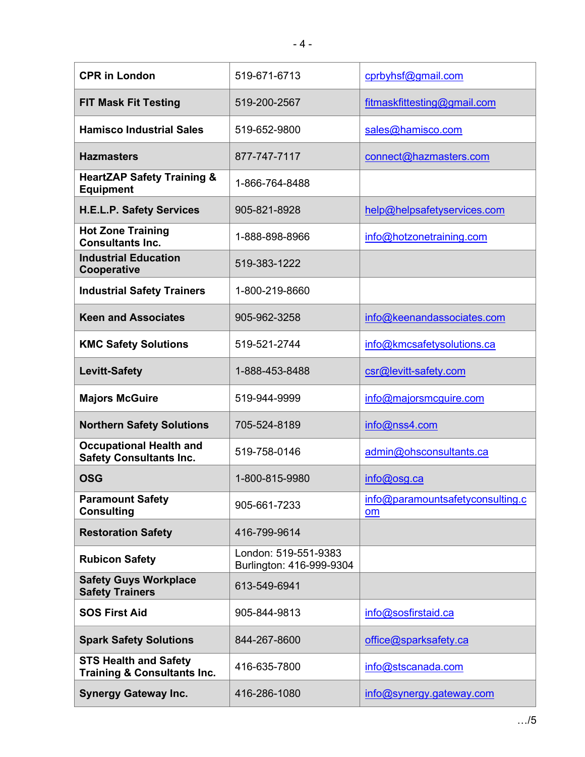| <b>CPR in London</b>                                                   | 519-671-6713                                     | cprbyhsf@gmail.com                            |
|------------------------------------------------------------------------|--------------------------------------------------|-----------------------------------------------|
| <b>FIT Mask Fit Testing</b>                                            | 519-200-2567                                     | fitmaskfittesting@gmail.com                   |
| <b>Hamisco Industrial Sales</b>                                        | 519-652-9800                                     | sales@hamisco.com                             |
| <b>Hazmasters</b>                                                      | 877-747-7117                                     | connect@hazmasters.com                        |
| <b>HeartZAP Safety Training &amp;</b><br><b>Equipment</b>              | 1-866-764-8488                                   |                                               |
| <b>H.E.L.P. Safety Services</b>                                        | 905-821-8928                                     | help@helpsafetyservices.com                   |
| <b>Hot Zone Training</b><br><b>Consultants Inc.</b>                    | 1-888-898-8966                                   | info@hotzonetraining.com                      |
| <b>Industrial Education</b><br>Cooperative                             | 519-383-1222                                     |                                               |
| <b>Industrial Safety Trainers</b>                                      | 1-800-219-8660                                   |                                               |
| <b>Keen and Associates</b>                                             | 905-962-3258                                     | info@keenandassociates.com                    |
| <b>KMC Safety Solutions</b>                                            | 519-521-2744                                     | info@kmcsafetysolutions.ca                    |
| <b>Levitt-Safety</b>                                                   | 1-888-453-8488                                   | csr@levitt-safety.com                         |
| <b>Majors McGuire</b>                                                  | 519-944-9999                                     | info@majorsmcguire.com                        |
| <b>Northern Safety Solutions</b>                                       | 705-524-8189                                     | info@nss4.com                                 |
| <b>Occupational Health and</b><br><b>Safety Consultants Inc.</b>       | 519-758-0146                                     | admin@ohsconsultants.ca                       |
| <b>OSG</b>                                                             | 1-800-815-9980                                   | info@osg.ca                                   |
| <b>Paramount Safety</b><br><b>Consulting</b>                           | 905-661-7233                                     | info@paramountsafetyconsulting.c<br><b>om</b> |
| <b>Restoration Safety</b>                                              | 416-799-9614                                     |                                               |
| <b>Rubicon Safety</b>                                                  | London: 519-551-9383<br>Burlington: 416-999-9304 |                                               |
| <b>Safety Guys Workplace</b><br><b>Safety Trainers</b>                 | 613-549-6941                                     |                                               |
| <b>SOS First Aid</b>                                                   | 905-844-9813                                     | info@sosfirstaid.ca                           |
| <b>Spark Safety Solutions</b>                                          | 844-267-8600                                     | office@sparksafety.ca                         |
| <b>STS Health and Safety</b><br><b>Training &amp; Consultants Inc.</b> | 416-635-7800                                     | info@stscanada.com                            |
| <b>Synergy Gateway Inc.</b>                                            | 416-286-1080                                     | info@synergy.gateway.com                      |